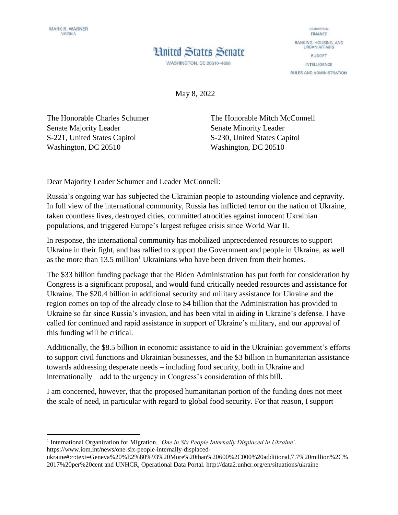$\overline{a}$ 

## **Hnited States Senate**



**WASHINGTON, DC 20510-4606** 

May 8, 2022

The Honorable Charles Schumer Senate Majority Leader S-221, United States Capitol Washington, DC 20510

The Honorable Mitch McConnell Senate Minority Leader S-230, United States Capitol Washington, DC 20510

Dear Majority Leader Schumer and Leader McConnell:

Russia's ongoing war has subjected the Ukrainian people to astounding violence and depravity. In full view of the international community, Russia has inflicted terror on the nation of Ukraine, taken countless lives, destroyed cities, committed atrocities against innocent Ukrainian populations, and triggered Europe's largest refugee crisis since World War II.

In response, the international community has mobilized unprecedented resources to support Ukraine in their fight, and has rallied to support the Government and people in Ukraine, as well as the more than  $13.5$  million<sup>1</sup> Ukrainians who have been driven from their homes.

The \$33 billion funding package that the Biden Administration has put forth for consideration by Congress is a significant proposal, and would fund critically needed resources and assistance for Ukraine. The \$20.4 billion in additional security and military assistance for Ukraine and the region comes on top of the already close to \$4 billion that the Administration has provided to Ukraine so far since Russia's invasion, and has been vital in aiding in Ukraine's defense. I have called for continued and rapid assistance in support of Ukraine's military, and our approval of this funding will be critical.

Additionally, the \$8.5 billion in economic assistance to aid in the Ukrainian government's efforts to support civil functions and Ukrainian businesses, and the \$3 billion in humanitarian assistance towards addressing desperate needs – including food security, both in Ukraine and internationally – add to the urgency in Congress's consideration of this bill.

I am concerned, however, that the proposed humanitarian portion of the funding does not meet the scale of need, in particular with regard to global food security. For that reason, I support –

<sup>&</sup>lt;sup>1</sup> International Organization for Migration, *'One in Six People Internally Displaced in Ukraine'*. https://www.iom.int/news/one-six-people-internally-displaced-

ukraine#:~:text=Geneva%20%E2%80%93%20More%20than%20600%2C000%20additional,7.7%20million%2C% 2017%20per%20cent and UNHCR, Operational Data Portal. http://data2.unhcr.org/en/situations/ukraine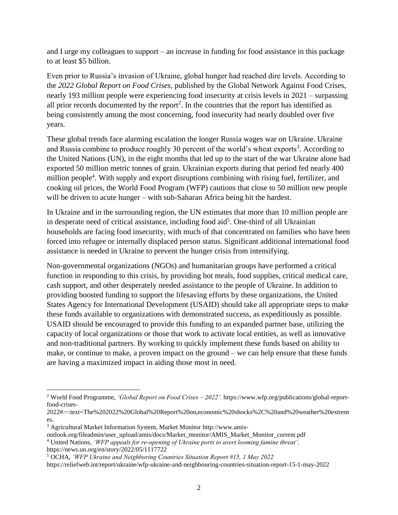and I urge my colleagues to support – an increase in funding for food assistance in this package to at least \$5 billion.

Even prior to Russia's invasion of Ukraine, global hunger had reached dire levels. According to the *2022 Global Report on Food Crises*, published by the Global Network Against Food Crises, nearly 193 million people were experiencing food insecurity at crisis levels in 2021 – surpassing all prior records documented by the report<sup>2</sup>. In the countries that the report has identified as being consistently among the most concerning, food insecurity had nearly doubled over five years.

These global trends face alarming escalation the longer Russia wages war on Ukraine. Ukraine and Russia combine to produce roughly 30 percent of the world's wheat exports<sup>3</sup>. According to the United Nations (UN), in the eight months that led up to the start of the war Ukraine alone had exported 50 million metric tonnes of grain. Ukrainian exports during that period fed nearly 400 million people<sup>4</sup>. With supply and export disruptions combining with rising fuel, fertilizer, and cooking oil prices, the World Food Program (WFP) cautions that close to 50 million new people will be driven to acute hunger – with sub-Saharan Africa being hit the hardest.

In Ukraine and in the surrounding region, the UN estimates that more than 10 million people are in desperate need of critical assistance, including food aid<sup>5</sup>. One-third of all Ukrainian households are facing food insecurity, with much of that concentrated on families who have been forced into refugee or internally displaced person status. Significant additional international food assistance is needed in Ukraine to prevent the hunger crisis from intensifying.

Non-governmental organizations (NGOs) and humanitarian groups have performed a critical function in responding to this crisis, by providing hot meals, food supplies, critical medical care, cash support, and other desperately needed assistance to the people of Ukraine. In addition to providing boosted funding to support the lifesaving efforts by these organizations, the United States Agency for International Development (USAID) should take all appropriate steps to make these funds available to organizations with demonstrated success, as expeditiously as possible. USAID should be encouraged to provide this funding to an expanded partner base, utilizing the capacity of local organizations or those that work to activate local entities, as well as innovative and non-traditional partners. By working to quickly implement these funds based on ability to make, or continue to make, a proven impact on the ground – we can help ensure that these funds are having a maximized impact in aiding those most in need.

 $\overline{a}$ 

<sup>2</sup> World Food Programme, *'Global Report on Food Crises – 2022'.* https://www.wfp.org/publications/global-reportfood-crises-

<sup>2022#:~:</sup>text=The%202022%20Global%20Report%20on,economic%20shocks%2C%20and%20weather%20extrem es.

<sup>3</sup> Agricultural Market Information System, Market Monitor http://www.amis-

outlook.org/fileadmin/user\_upload/amis/docs/Market\_monitor/AMIS\_Market\_Monitor\_current.pdf

<sup>4</sup> United Nations, *'WFP appeals for re-opening of Ukraine ports to avert looming famine threat'.*  https://news.un.org/en/story/2022/05/1117722

<sup>5</sup> OCHA, *'WFP Ukraine and Neighboring Countries Situation Report #15, 1 May 2022* 

https://reliefweb.int/report/ukraine/wfp-ukraine-and-neighbouring-countries-situation-report-15-1-may-2022